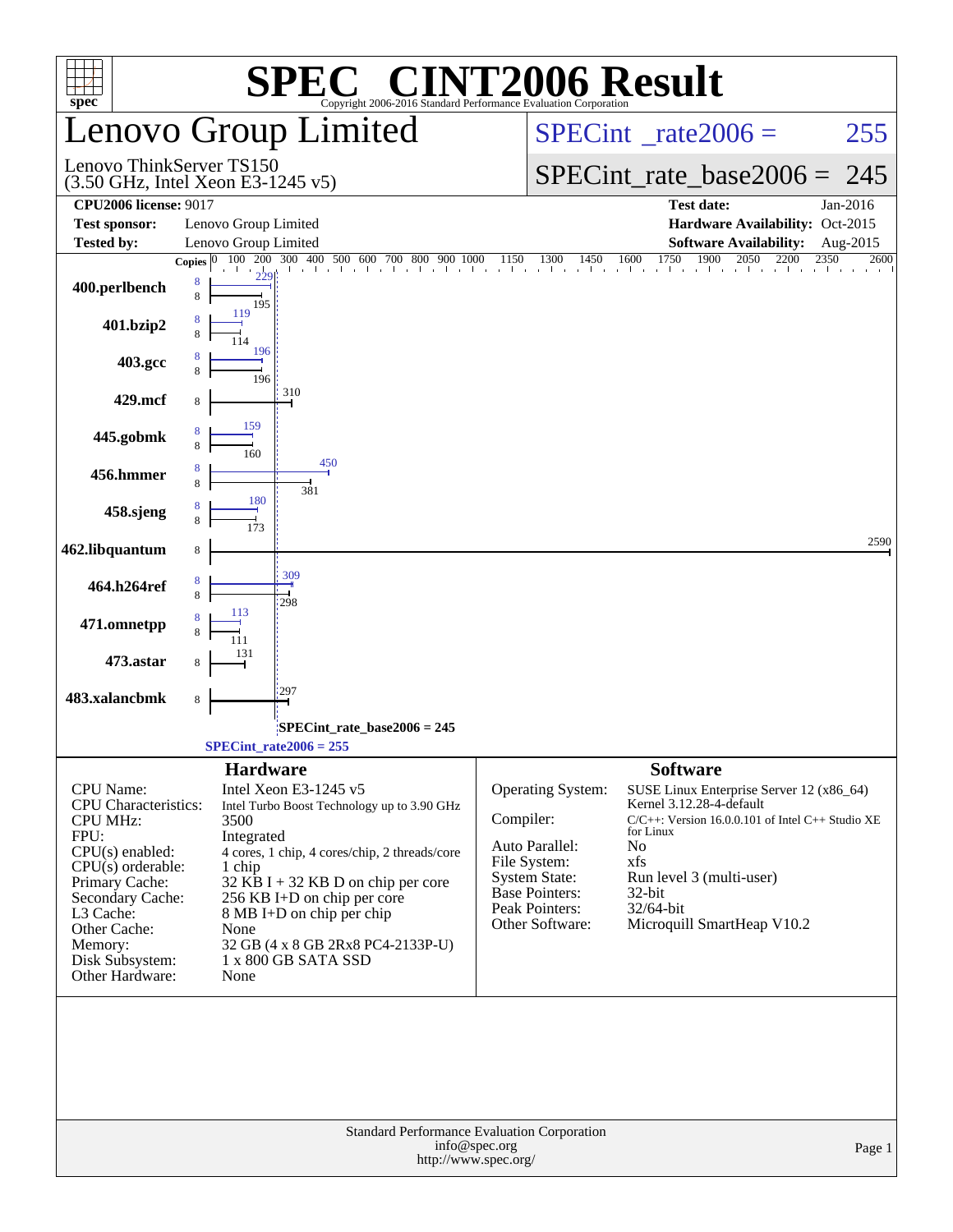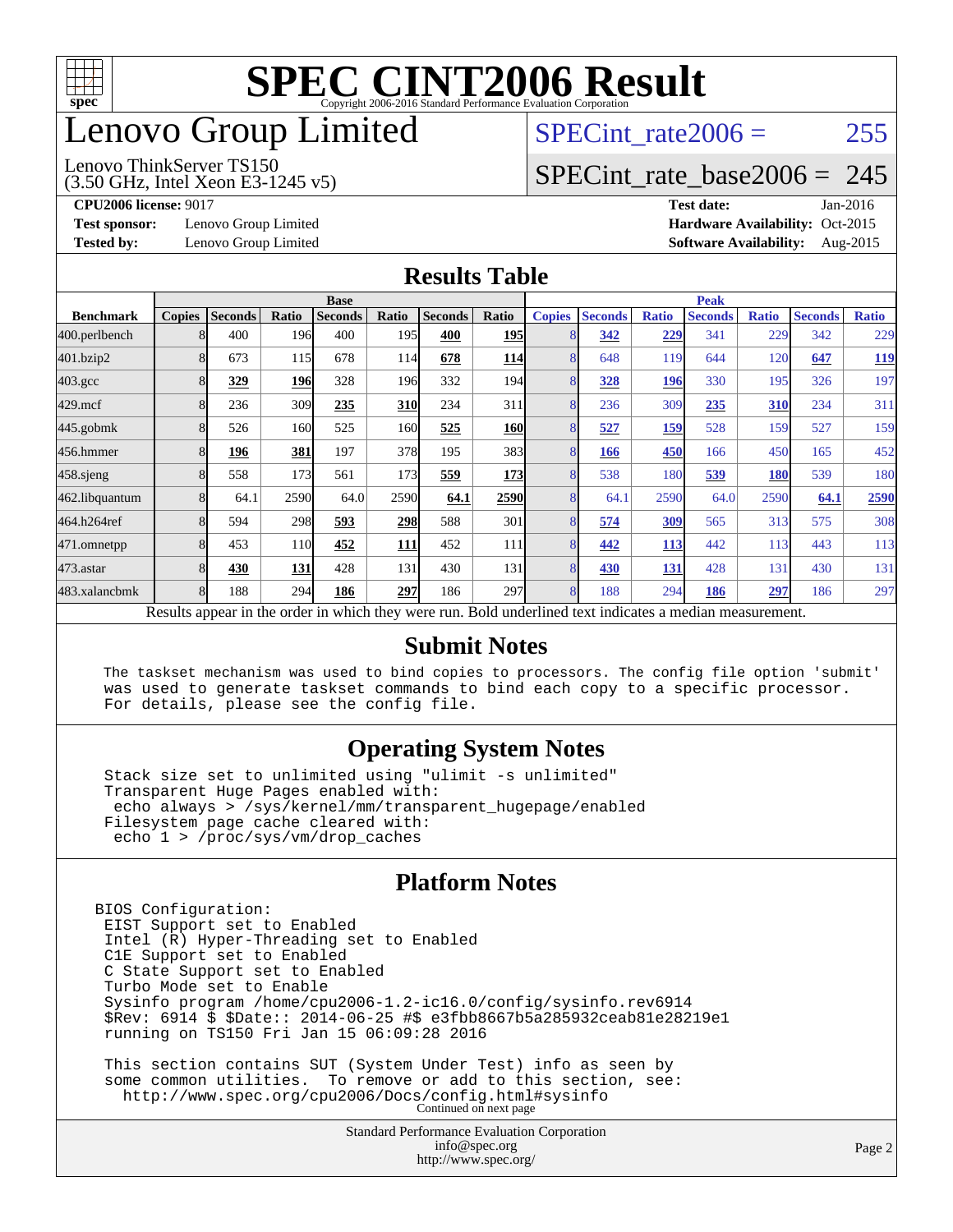

### enovo Group Limited

#### (3.50 GHz, Intel Xeon E3-1245 v5) Lenovo ThinkServer TS150

SPECint rate $2006 = 255$ 

#### [SPECint\\_rate\\_base2006 =](http://www.spec.org/auto/cpu2006/Docs/result-fields.html#SPECintratebase2006) 245

**[Test sponsor:](http://www.spec.org/auto/cpu2006/Docs/result-fields.html#Testsponsor)** Lenovo Group Limited **[Hardware Availability:](http://www.spec.org/auto/cpu2006/Docs/result-fields.html#HardwareAvailability)** Oct-2015

**[CPU2006 license:](http://www.spec.org/auto/cpu2006/Docs/result-fields.html#CPU2006license)** 9017 **[Test date:](http://www.spec.org/auto/cpu2006/Docs/result-fields.html#Testdate)** Jan-2016 **[Tested by:](http://www.spec.org/auto/cpu2006/Docs/result-fields.html#Testedby)** Lenovo Group Limited **[Software Availability:](http://www.spec.org/auto/cpu2006/Docs/result-fields.html#SoftwareAvailability)** Aug-2015

#### **[Results Table](http://www.spec.org/auto/cpu2006/Docs/result-fields.html#ResultsTable)**

|                    | <b>Base</b>   |                |       |                                                                                                          |            |                |                  | <b>Peak</b>    |                |              |                |              |                |              |
|--------------------|---------------|----------------|-------|----------------------------------------------------------------------------------------------------------|------------|----------------|------------------|----------------|----------------|--------------|----------------|--------------|----------------|--------------|
| <b>Benchmark</b>   | <b>Copies</b> | <b>Seconds</b> | Ratio | <b>Seconds</b>                                                                                           | Ratio      | <b>Seconds</b> | Ratio            | <b>Copies</b>  | <b>Seconds</b> | <b>Ratio</b> | <b>Seconds</b> | <b>Ratio</b> | <b>Seconds</b> | <b>Ratio</b> |
| 400.perlbench      | 8             | 400            | 196   | 400                                                                                                      | 195I       | 400            | <b>195</b>       | 8              | 342            | 229          | 341            | 229          | 342            | 229          |
| 401.bzip2          | 8             | 673            | 115   | 678                                                                                                      | 114        | 678            | <b>114</b>       | 8              | 648            | 119          | 644            | 120          | 647            | <u>119</u>   |
| $403.\mathrm{gcc}$ | 8             | 329            | 196   | 328                                                                                                      | 196        | 332            | 194I             | 8              | 328            | 196          | 330            | 195          | 326            | 197          |
| $429$ .mcf         | 8             | 236            | 309   | 235                                                                                                      | <b>310</b> | 234            | 311              | 8              | 236            | 309          | 235            | 310          | 234            | 311          |
| $445$ .gobmk       | 8             | 526            | 160   | 525                                                                                                      | 160        | 525            | <b>160</b>       | 8              | 527            | 159          | 528            | 159          | 527            | 159          |
| 456.hmmer          | 8             | 196            | 381   | 197                                                                                                      | 378        | 195            | 383              | 8              | 166            | 450          | 166            | 450          | 165            | 452          |
| $458$ .sjeng       | 8             | 558            | 173   | 561                                                                                                      | 173        | 559            | 173              | 8              | 538            | 180          | 539            | 180          | 539            | 180          |
| 462.libquantum     | 8             | 64.1           | 2590  | 64.0                                                                                                     | 2590       | 64.1           | 2590             | 8              | 64.1           | 2590         | 64.0           | 2590         | 64.1           | 2590         |
| 464.h264ref        | 8             | 594            | 298   | 593                                                                                                      | 298        | 588            | 301              | 8              | 574            | 309          | 565            | 313          | 575            | 308          |
| 471.omnetpp        | 8             | 453            | 110   | 452                                                                                                      | 111        | 452            | 111              | 8              | 442            | 113          | 442            | 113          | 443            | 113          |
| 473.astar          | 8             | 430            | 131   | 428                                                                                                      | 131        | 430            | 131              | 8              | 430            | 131          | 428            | 131          | 430            | 131          |
| 483.xalancbmk      | 8             | 188            | 294   | 186                                                                                                      | 297        | 186            | 297 <sub>l</sub> | $\overline{8}$ | 188            | 294          | 186            | 297          | 186            | 297          |
|                    |               |                |       | Results appear in the order in which they were run. Bold underlined text indicates a median measurement. |            |                |                  |                |                |              |                |              |                |              |

#### **[Submit Notes](http://www.spec.org/auto/cpu2006/Docs/result-fields.html#SubmitNotes)**

 The taskset mechanism was used to bind copies to processors. The config file option 'submit' was used to generate taskset commands to bind each copy to a specific processor. For details, please see the config file.

#### **[Operating System Notes](http://www.spec.org/auto/cpu2006/Docs/result-fields.html#OperatingSystemNotes)**

 Stack size set to unlimited using "ulimit -s unlimited" Transparent Huge Pages enabled with: echo always > /sys/kernel/mm/transparent\_hugepage/enabled Filesystem page cache cleared with: echo 1 > /proc/sys/vm/drop\_caches

#### **[Platform Notes](http://www.spec.org/auto/cpu2006/Docs/result-fields.html#PlatformNotes)**

BIOS Configuration: EIST Support set to Enabled Intel (R) Hyper-Threading set to Enabled C1E Support set to Enabled C State Support set to Enabled Turbo Mode set to Enable Sysinfo program /home/cpu2006-1.2-ic16.0/config/sysinfo.rev6914 \$Rev: 6914 \$ \$Date:: 2014-06-25 #\$ e3fbb8667b5a285932ceab81e28219e1 running on TS150 Fri Jan 15 06:09:28 2016 This section contains SUT (System Under Test) info as seen by some common utilities. To remove or add to this section, see:

<http://www.spec.org/cpu2006/Docs/config.html#sysinfo> Continued on next page

Standard Performance Evaluation Corporation [info@spec.org](mailto:info@spec.org) <http://www.spec.org/>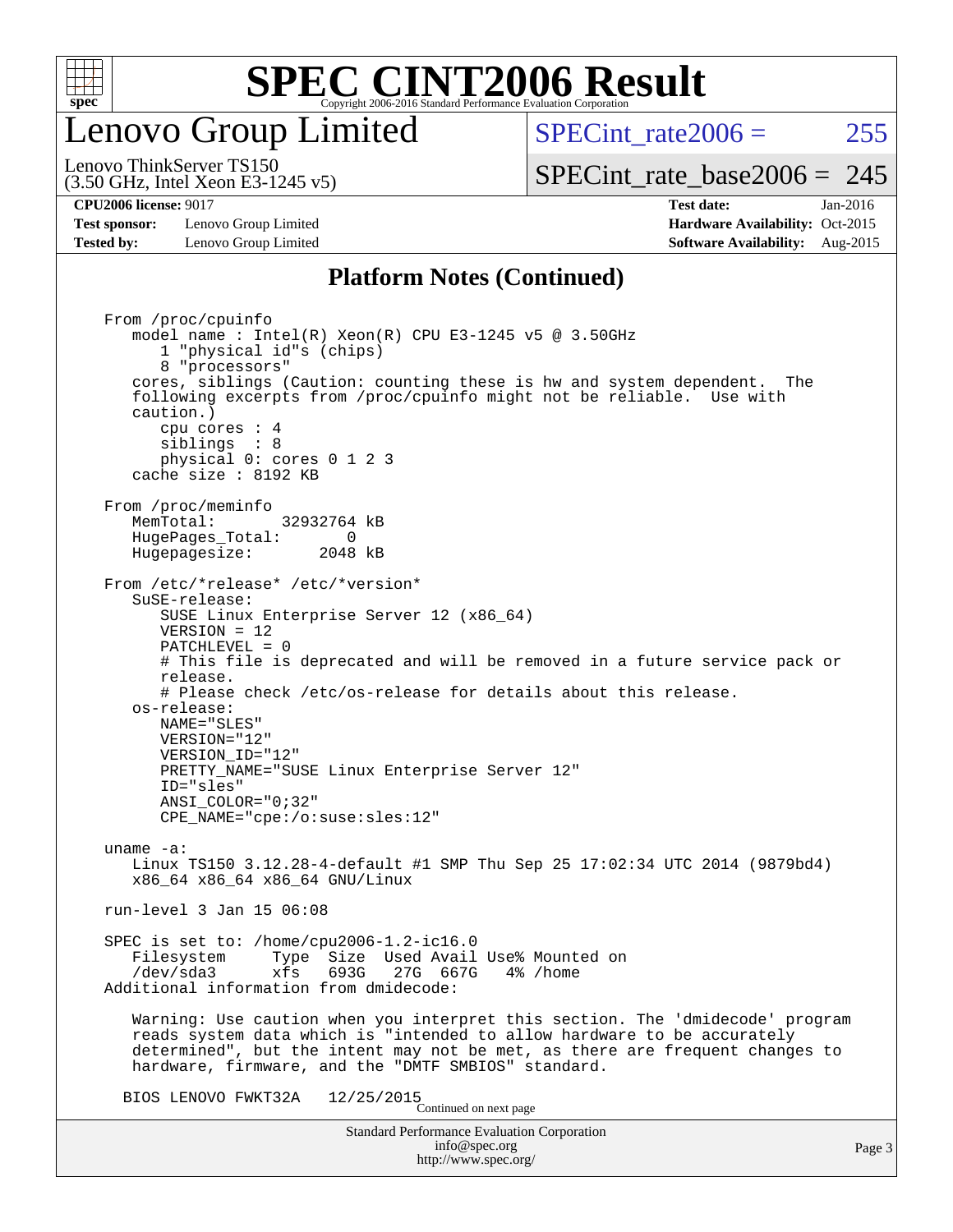

### enovo Group Limited

SPECint rate $2006 = 255$ [SPECint\\_rate\\_base2006 =](http://www.spec.org/auto/cpu2006/Docs/result-fields.html#SPECintratebase2006) 245

(3.50 GHz, Intel Xeon E3-1245 v5) Lenovo ThinkServer TS150

**[Test sponsor:](http://www.spec.org/auto/cpu2006/Docs/result-fields.html#Testsponsor)** Lenovo Group Limited **[Hardware Availability:](http://www.spec.org/auto/cpu2006/Docs/result-fields.html#HardwareAvailability)** Oct-2015 **[Tested by:](http://www.spec.org/auto/cpu2006/Docs/result-fields.html#Testedby)** Lenovo Group Limited **[Software Availability:](http://www.spec.org/auto/cpu2006/Docs/result-fields.html#SoftwareAvailability)** Aug-2015

**[CPU2006 license:](http://www.spec.org/auto/cpu2006/Docs/result-fields.html#CPU2006license)** 9017 **[Test date:](http://www.spec.org/auto/cpu2006/Docs/result-fields.html#Testdate)** Jan-2016

#### **[Platform Notes \(Continued\)](http://www.spec.org/auto/cpu2006/Docs/result-fields.html#PlatformNotes)**

Standard Performance Evaluation Corporation [info@spec.org](mailto:info@spec.org) <http://www.spec.org/> From /proc/cpuinfo model name : Intel(R) Xeon(R) CPU E3-1245 v5 @ 3.50GHz 1 "physical id"s (chips) 8 "processors" cores, siblings (Caution: counting these is hw and system dependent. The following excerpts from /proc/cpuinfo might not be reliable. Use with caution.) cpu cores : 4 siblings : 8 physical 0: cores 0 1 2 3 cache size : 8192 KB From /proc/meminfo MemTotal: 32932764 kB HugePages\_Total: 0<br>Hugepagesize: 2048 kB Hugepagesize: From /etc/\*release\* /etc/\*version\* SuSE-release: SUSE Linux Enterprise Server 12 (x86\_64) VERSION = 12 PATCHLEVEL = 0 # This file is deprecated and will be removed in a future service pack or release. # Please check /etc/os-release for details about this release. os-release: NAME="SLES" VERSION="12" VERSION\_ID="12" PRETTY\_NAME="SUSE Linux Enterprise Server 12" ID="sles" ANSI\_COLOR="0;32" CPE\_NAME="cpe:/o:suse:sles:12" uname -a: Linux TS150 3.12.28-4-default #1 SMP Thu Sep 25 17:02:34 UTC 2014 (9879bd4) x86\_64 x86\_64 x86\_64 GNU/Linux run-level 3 Jan 15 06:08 SPEC is set to: /home/cpu2006-1.2-ic16.0 Filesystem Type Size Used Avail Use% Mounted on<br>
/dev/sda3 xfs 693G 27G 667G 4% /home 27G 667G Additional information from dmidecode: Warning: Use caution when you interpret this section. The 'dmidecode' program reads system data which is "intended to allow hardware to be accurately determined", but the intent may not be met, as there are frequent changes to hardware, firmware, and the "DMTF SMBIOS" standard. BIOS LENOVO FWKT32A  $12/25/2015$ <br>Continued on next page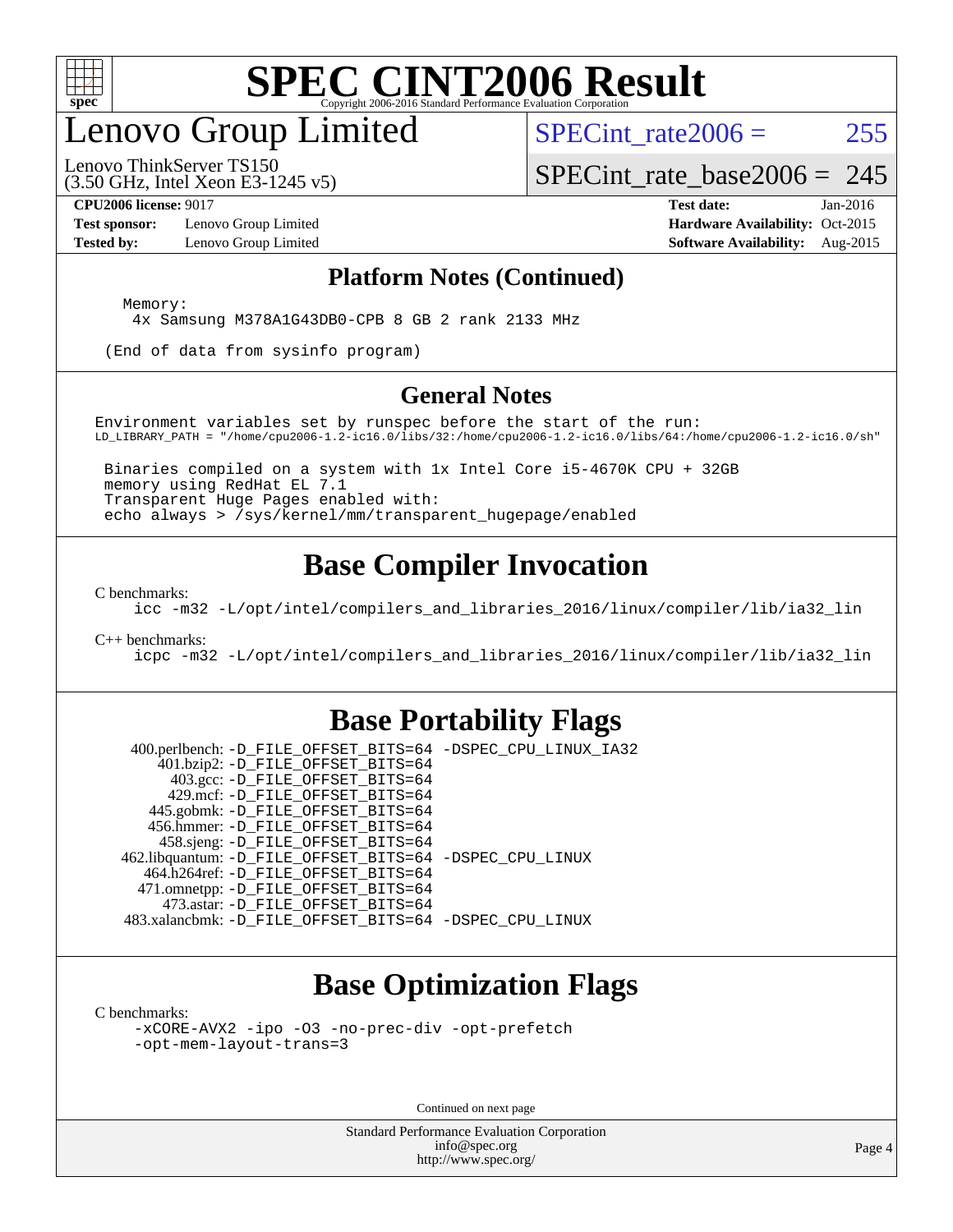

### enovo Group Limited

SPECint rate $2006 = 255$ 

(3.50 GHz, Intel Xeon E3-1245 v5) Lenovo ThinkServer TS150

[SPECint\\_rate\\_base2006 =](http://www.spec.org/auto/cpu2006/Docs/result-fields.html#SPECintratebase2006) 245

**[Test sponsor:](http://www.spec.org/auto/cpu2006/Docs/result-fields.html#Testsponsor)** Lenovo Group Limited **[Hardware Availability:](http://www.spec.org/auto/cpu2006/Docs/result-fields.html#HardwareAvailability)** Oct-2015

**[CPU2006 license:](http://www.spec.org/auto/cpu2006/Docs/result-fields.html#CPU2006license)** 9017 **[Test date:](http://www.spec.org/auto/cpu2006/Docs/result-fields.html#Testdate)** Jan-2016 **[Tested by:](http://www.spec.org/auto/cpu2006/Docs/result-fields.html#Testedby)** Lenovo Group Limited **[Software Availability:](http://www.spec.org/auto/cpu2006/Docs/result-fields.html#SoftwareAvailability)** Aug-2015

#### **[Platform Notes \(Continued\)](http://www.spec.org/auto/cpu2006/Docs/result-fields.html#PlatformNotes)**

Memory:

4x Samsung M378A1G43DB0-CPB 8 GB 2 rank 2133 MHz

(End of data from sysinfo program)

#### **[General Notes](http://www.spec.org/auto/cpu2006/Docs/result-fields.html#GeneralNotes)**

Environment variables set by runspec before the start of the run: LD\_LIBRARY\_PATH = "/home/cpu2006-1.2-ic16.0/libs/32:/home/cpu2006-1.2-ic16.0/libs/64:/home/cpu2006-1.2-ic16.0/sh"

 Binaries compiled on a system with 1x Intel Core i5-4670K CPU + 32GB memory using RedHat EL 7.1 Transparent Huge Pages enabled with: echo always > /sys/kernel/mm/transparent\_hugepage/enabled

#### **[Base Compiler Invocation](http://www.spec.org/auto/cpu2006/Docs/result-fields.html#BaseCompilerInvocation)**

[C benchmarks](http://www.spec.org/auto/cpu2006/Docs/result-fields.html#Cbenchmarks):

[icc -m32 -L/opt/intel/compilers\\_and\\_libraries\\_2016/linux/compiler/lib/ia32\\_lin](http://www.spec.org/cpu2006/results/res2016q1/cpu2006-20160125-38846.flags.html#user_CCbase_intel_icc_e10256ba5924b668798078a321b0cb3f)

#### [C++ benchmarks:](http://www.spec.org/auto/cpu2006/Docs/result-fields.html#CXXbenchmarks)

[icpc -m32 -L/opt/intel/compilers\\_and\\_libraries\\_2016/linux/compiler/lib/ia32\\_lin](http://www.spec.org/cpu2006/results/res2016q1/cpu2006-20160125-38846.flags.html#user_CXXbase_intel_icpc_b4f50a394bdb4597aa5879c16bc3f5c5)

#### **[Base Portability Flags](http://www.spec.org/auto/cpu2006/Docs/result-fields.html#BasePortabilityFlags)**

 400.perlbench: [-D\\_FILE\\_OFFSET\\_BITS=64](http://www.spec.org/cpu2006/results/res2016q1/cpu2006-20160125-38846.flags.html#user_basePORTABILITY400_perlbench_file_offset_bits_64_438cf9856305ebd76870a2c6dc2689ab) [-DSPEC\\_CPU\\_LINUX\\_IA32](http://www.spec.org/cpu2006/results/res2016q1/cpu2006-20160125-38846.flags.html#b400.perlbench_baseCPORTABILITY_DSPEC_CPU_LINUX_IA32) 401.bzip2: [-D\\_FILE\\_OFFSET\\_BITS=64](http://www.spec.org/cpu2006/results/res2016q1/cpu2006-20160125-38846.flags.html#user_basePORTABILITY401_bzip2_file_offset_bits_64_438cf9856305ebd76870a2c6dc2689ab) 403.gcc: [-D\\_FILE\\_OFFSET\\_BITS=64](http://www.spec.org/cpu2006/results/res2016q1/cpu2006-20160125-38846.flags.html#user_basePORTABILITY403_gcc_file_offset_bits_64_438cf9856305ebd76870a2c6dc2689ab) 429.mcf: [-D\\_FILE\\_OFFSET\\_BITS=64](http://www.spec.org/cpu2006/results/res2016q1/cpu2006-20160125-38846.flags.html#user_basePORTABILITY429_mcf_file_offset_bits_64_438cf9856305ebd76870a2c6dc2689ab) 445.gobmk: [-D\\_FILE\\_OFFSET\\_BITS=64](http://www.spec.org/cpu2006/results/res2016q1/cpu2006-20160125-38846.flags.html#user_basePORTABILITY445_gobmk_file_offset_bits_64_438cf9856305ebd76870a2c6dc2689ab) 456.hmmer: [-D\\_FILE\\_OFFSET\\_BITS=64](http://www.spec.org/cpu2006/results/res2016q1/cpu2006-20160125-38846.flags.html#user_basePORTABILITY456_hmmer_file_offset_bits_64_438cf9856305ebd76870a2c6dc2689ab) 458.sjeng: [-D\\_FILE\\_OFFSET\\_BITS=64](http://www.spec.org/cpu2006/results/res2016q1/cpu2006-20160125-38846.flags.html#user_basePORTABILITY458_sjeng_file_offset_bits_64_438cf9856305ebd76870a2c6dc2689ab) 462.libquantum: [-D\\_FILE\\_OFFSET\\_BITS=64](http://www.spec.org/cpu2006/results/res2016q1/cpu2006-20160125-38846.flags.html#user_basePORTABILITY462_libquantum_file_offset_bits_64_438cf9856305ebd76870a2c6dc2689ab) [-DSPEC\\_CPU\\_LINUX](http://www.spec.org/cpu2006/results/res2016q1/cpu2006-20160125-38846.flags.html#b462.libquantum_baseCPORTABILITY_DSPEC_CPU_LINUX) 464.h264ref: [-D\\_FILE\\_OFFSET\\_BITS=64](http://www.spec.org/cpu2006/results/res2016q1/cpu2006-20160125-38846.flags.html#user_basePORTABILITY464_h264ref_file_offset_bits_64_438cf9856305ebd76870a2c6dc2689ab) 471.omnetpp: [-D\\_FILE\\_OFFSET\\_BITS=64](http://www.spec.org/cpu2006/results/res2016q1/cpu2006-20160125-38846.flags.html#user_basePORTABILITY471_omnetpp_file_offset_bits_64_438cf9856305ebd76870a2c6dc2689ab) 473.astar: [-D\\_FILE\\_OFFSET\\_BITS=64](http://www.spec.org/cpu2006/results/res2016q1/cpu2006-20160125-38846.flags.html#user_basePORTABILITY473_astar_file_offset_bits_64_438cf9856305ebd76870a2c6dc2689ab) 483.xalancbmk: [-D\\_FILE\\_OFFSET\\_BITS=64](http://www.spec.org/cpu2006/results/res2016q1/cpu2006-20160125-38846.flags.html#user_basePORTABILITY483_xalancbmk_file_offset_bits_64_438cf9856305ebd76870a2c6dc2689ab) [-DSPEC\\_CPU\\_LINUX](http://www.spec.org/cpu2006/results/res2016q1/cpu2006-20160125-38846.flags.html#b483.xalancbmk_baseCXXPORTABILITY_DSPEC_CPU_LINUX)

#### **[Base Optimization Flags](http://www.spec.org/auto/cpu2006/Docs/result-fields.html#BaseOptimizationFlags)**

[C benchmarks](http://www.spec.org/auto/cpu2006/Docs/result-fields.html#Cbenchmarks):

[-xCORE-AVX2](http://www.spec.org/cpu2006/results/res2016q1/cpu2006-20160125-38846.flags.html#user_CCbase_f-xAVX2_5f5fc0cbe2c9f62c816d3e45806c70d7) [-ipo](http://www.spec.org/cpu2006/results/res2016q1/cpu2006-20160125-38846.flags.html#user_CCbase_f-ipo) [-O3](http://www.spec.org/cpu2006/results/res2016q1/cpu2006-20160125-38846.flags.html#user_CCbase_f-O3) [-no-prec-div](http://www.spec.org/cpu2006/results/res2016q1/cpu2006-20160125-38846.flags.html#user_CCbase_f-no-prec-div) [-opt-prefetch](http://www.spec.org/cpu2006/results/res2016q1/cpu2006-20160125-38846.flags.html#user_CCbase_f-opt-prefetch) [-opt-mem-layout-trans=3](http://www.spec.org/cpu2006/results/res2016q1/cpu2006-20160125-38846.flags.html#user_CCbase_f-opt-mem-layout-trans_a7b82ad4bd7abf52556d4961a2ae94d5)

Continued on next page

Standard Performance Evaluation Corporation [info@spec.org](mailto:info@spec.org) <http://www.spec.org/>

Page 4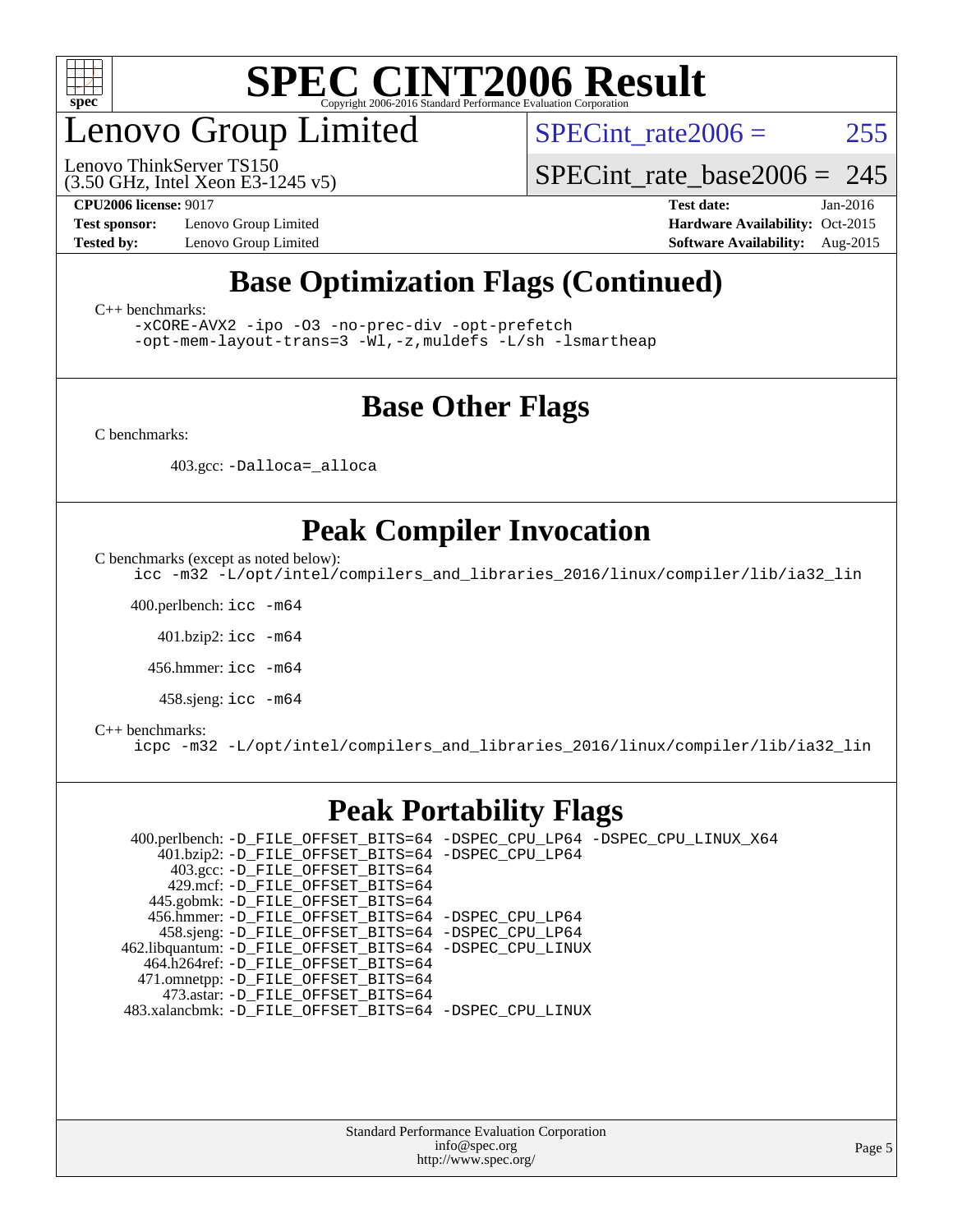

### enovo Group Limited

(3.50 GHz, Intel Xeon E3-1245 v5) Lenovo ThinkServer TS150

SPECint rate $2006 = 255$ 

SPECint rate base2006 =  $245$ 

**[Test sponsor:](http://www.spec.org/auto/cpu2006/Docs/result-fields.html#Testsponsor)** Lenovo Group Limited **[Hardware Availability:](http://www.spec.org/auto/cpu2006/Docs/result-fields.html#HardwareAvailability)** Oct-2015

**[CPU2006 license:](http://www.spec.org/auto/cpu2006/Docs/result-fields.html#CPU2006license)** 9017 **[Test date:](http://www.spec.org/auto/cpu2006/Docs/result-fields.html#Testdate)** Jan-2016 **[Tested by:](http://www.spec.org/auto/cpu2006/Docs/result-fields.html#Testedby)** Lenovo Group Limited **[Software Availability:](http://www.spec.org/auto/cpu2006/Docs/result-fields.html#SoftwareAvailability)** Aug-2015

#### **[Base Optimization Flags \(Continued\)](http://www.spec.org/auto/cpu2006/Docs/result-fields.html#BaseOptimizationFlags)**

[C++ benchmarks:](http://www.spec.org/auto/cpu2006/Docs/result-fields.html#CXXbenchmarks)

[-xCORE-AVX2](http://www.spec.org/cpu2006/results/res2016q1/cpu2006-20160125-38846.flags.html#user_CXXbase_f-xAVX2_5f5fc0cbe2c9f62c816d3e45806c70d7) [-ipo](http://www.spec.org/cpu2006/results/res2016q1/cpu2006-20160125-38846.flags.html#user_CXXbase_f-ipo) [-O3](http://www.spec.org/cpu2006/results/res2016q1/cpu2006-20160125-38846.flags.html#user_CXXbase_f-O3) [-no-prec-div](http://www.spec.org/cpu2006/results/res2016q1/cpu2006-20160125-38846.flags.html#user_CXXbase_f-no-prec-div) [-opt-prefetch](http://www.spec.org/cpu2006/results/res2016q1/cpu2006-20160125-38846.flags.html#user_CXXbase_f-opt-prefetch)

[-opt-mem-layout-trans=3](http://www.spec.org/cpu2006/results/res2016q1/cpu2006-20160125-38846.flags.html#user_CXXbase_f-opt-mem-layout-trans_a7b82ad4bd7abf52556d4961a2ae94d5) [-Wl,-z,muldefs](http://www.spec.org/cpu2006/results/res2016q1/cpu2006-20160125-38846.flags.html#user_CXXbase_link_force_multiple1_74079c344b956b9658436fd1b6dd3a8a) [-L/sh -lsmartheap](http://www.spec.org/cpu2006/results/res2016q1/cpu2006-20160125-38846.flags.html#user_CXXbase_SmartHeap_32f6c82aa1ed9c52345d30cf6e4a0499)

#### **[Base Other Flags](http://www.spec.org/auto/cpu2006/Docs/result-fields.html#BaseOtherFlags)**

[C benchmarks](http://www.spec.org/auto/cpu2006/Docs/result-fields.html#Cbenchmarks):

403.gcc: [-Dalloca=\\_alloca](http://www.spec.org/cpu2006/results/res2016q1/cpu2006-20160125-38846.flags.html#b403.gcc_baseEXTRA_CFLAGS_Dalloca_be3056838c12de2578596ca5467af7f3)

#### **[Peak Compiler Invocation](http://www.spec.org/auto/cpu2006/Docs/result-fields.html#PeakCompilerInvocation)**

[C benchmarks \(except as noted below\)](http://www.spec.org/auto/cpu2006/Docs/result-fields.html#Cbenchmarksexceptasnotedbelow):

[icc -m32 -L/opt/intel/compilers\\_and\\_libraries\\_2016/linux/compiler/lib/ia32\\_lin](http://www.spec.org/cpu2006/results/res2016q1/cpu2006-20160125-38846.flags.html#user_CCpeak_intel_icc_e10256ba5924b668798078a321b0cb3f)

400.perlbench: [icc -m64](http://www.spec.org/cpu2006/results/res2016q1/cpu2006-20160125-38846.flags.html#user_peakCCLD400_perlbench_intel_icc_64bit_bda6cc9af1fdbb0edc3795bac97ada53)

401.bzip2: [icc -m64](http://www.spec.org/cpu2006/results/res2016q1/cpu2006-20160125-38846.flags.html#user_peakCCLD401_bzip2_intel_icc_64bit_bda6cc9af1fdbb0edc3795bac97ada53)

456.hmmer: [icc -m64](http://www.spec.org/cpu2006/results/res2016q1/cpu2006-20160125-38846.flags.html#user_peakCCLD456_hmmer_intel_icc_64bit_bda6cc9af1fdbb0edc3795bac97ada53)

458.sjeng: [icc -m64](http://www.spec.org/cpu2006/results/res2016q1/cpu2006-20160125-38846.flags.html#user_peakCCLD458_sjeng_intel_icc_64bit_bda6cc9af1fdbb0edc3795bac97ada53)

#### [C++ benchmarks:](http://www.spec.org/auto/cpu2006/Docs/result-fields.html#CXXbenchmarks)

[icpc -m32 -L/opt/intel/compilers\\_and\\_libraries\\_2016/linux/compiler/lib/ia32\\_lin](http://www.spec.org/cpu2006/results/res2016q1/cpu2006-20160125-38846.flags.html#user_CXXpeak_intel_icpc_b4f50a394bdb4597aa5879c16bc3f5c5)

#### **[Peak Portability Flags](http://www.spec.org/auto/cpu2006/Docs/result-fields.html#PeakPortabilityFlags)**

 400.perlbench: [-D\\_FILE\\_OFFSET\\_BITS=64](http://www.spec.org/cpu2006/results/res2016q1/cpu2006-20160125-38846.flags.html#user_peakPORTABILITY400_perlbench_file_offset_bits_64_438cf9856305ebd76870a2c6dc2689ab) [-DSPEC\\_CPU\\_LP64](http://www.spec.org/cpu2006/results/res2016q1/cpu2006-20160125-38846.flags.html#b400.perlbench_peakCPORTABILITY_DSPEC_CPU_LP64) [-DSPEC\\_CPU\\_LINUX\\_X64](http://www.spec.org/cpu2006/results/res2016q1/cpu2006-20160125-38846.flags.html#b400.perlbench_peakCPORTABILITY_DSPEC_CPU_LINUX_X64) 401.bzip2: [-D\\_FILE\\_OFFSET\\_BITS=64](http://www.spec.org/cpu2006/results/res2016q1/cpu2006-20160125-38846.flags.html#user_peakPORTABILITY401_bzip2_file_offset_bits_64_438cf9856305ebd76870a2c6dc2689ab) [-DSPEC\\_CPU\\_LP64](http://www.spec.org/cpu2006/results/res2016q1/cpu2006-20160125-38846.flags.html#suite_peakCPORTABILITY401_bzip2_DSPEC_CPU_LP64) 403.gcc: [-D\\_FILE\\_OFFSET\\_BITS=64](http://www.spec.org/cpu2006/results/res2016q1/cpu2006-20160125-38846.flags.html#user_peakPORTABILITY403_gcc_file_offset_bits_64_438cf9856305ebd76870a2c6dc2689ab) 429.mcf: [-D\\_FILE\\_OFFSET\\_BITS=64](http://www.spec.org/cpu2006/results/res2016q1/cpu2006-20160125-38846.flags.html#user_peakPORTABILITY429_mcf_file_offset_bits_64_438cf9856305ebd76870a2c6dc2689ab) 445.gobmk: [-D\\_FILE\\_OFFSET\\_BITS=64](http://www.spec.org/cpu2006/results/res2016q1/cpu2006-20160125-38846.flags.html#user_peakPORTABILITY445_gobmk_file_offset_bits_64_438cf9856305ebd76870a2c6dc2689ab) 456.hmmer: [-D\\_FILE\\_OFFSET\\_BITS=64](http://www.spec.org/cpu2006/results/res2016q1/cpu2006-20160125-38846.flags.html#user_peakPORTABILITY456_hmmer_file_offset_bits_64_438cf9856305ebd76870a2c6dc2689ab) [-DSPEC\\_CPU\\_LP64](http://www.spec.org/cpu2006/results/res2016q1/cpu2006-20160125-38846.flags.html#suite_peakCPORTABILITY456_hmmer_DSPEC_CPU_LP64) 458.sjeng: [-D\\_FILE\\_OFFSET\\_BITS=64](http://www.spec.org/cpu2006/results/res2016q1/cpu2006-20160125-38846.flags.html#user_peakPORTABILITY458_sjeng_file_offset_bits_64_438cf9856305ebd76870a2c6dc2689ab) [-DSPEC\\_CPU\\_LP64](http://www.spec.org/cpu2006/results/res2016q1/cpu2006-20160125-38846.flags.html#suite_peakCPORTABILITY458_sjeng_DSPEC_CPU_LP64) 462.libquantum: [-D\\_FILE\\_OFFSET\\_BITS=64](http://www.spec.org/cpu2006/results/res2016q1/cpu2006-20160125-38846.flags.html#user_peakPORTABILITY462_libquantum_file_offset_bits_64_438cf9856305ebd76870a2c6dc2689ab) [-DSPEC\\_CPU\\_LINUX](http://www.spec.org/cpu2006/results/res2016q1/cpu2006-20160125-38846.flags.html#b462.libquantum_peakCPORTABILITY_DSPEC_CPU_LINUX) 464.h264ref: [-D\\_FILE\\_OFFSET\\_BITS=64](http://www.spec.org/cpu2006/results/res2016q1/cpu2006-20160125-38846.flags.html#user_peakPORTABILITY464_h264ref_file_offset_bits_64_438cf9856305ebd76870a2c6dc2689ab) 471.omnetpp: [-D\\_FILE\\_OFFSET\\_BITS=64](http://www.spec.org/cpu2006/results/res2016q1/cpu2006-20160125-38846.flags.html#user_peakPORTABILITY471_omnetpp_file_offset_bits_64_438cf9856305ebd76870a2c6dc2689ab) 473.astar: [-D\\_FILE\\_OFFSET\\_BITS=64](http://www.spec.org/cpu2006/results/res2016q1/cpu2006-20160125-38846.flags.html#user_peakPORTABILITY473_astar_file_offset_bits_64_438cf9856305ebd76870a2c6dc2689ab) 483.xalancbmk: [-D\\_FILE\\_OFFSET\\_BITS=64](http://www.spec.org/cpu2006/results/res2016q1/cpu2006-20160125-38846.flags.html#user_peakPORTABILITY483_xalancbmk_file_offset_bits_64_438cf9856305ebd76870a2c6dc2689ab) [-DSPEC\\_CPU\\_LINUX](http://www.spec.org/cpu2006/results/res2016q1/cpu2006-20160125-38846.flags.html#b483.xalancbmk_peakCXXPORTABILITY_DSPEC_CPU_LINUX)

> Standard Performance Evaluation Corporation [info@spec.org](mailto:info@spec.org) <http://www.spec.org/>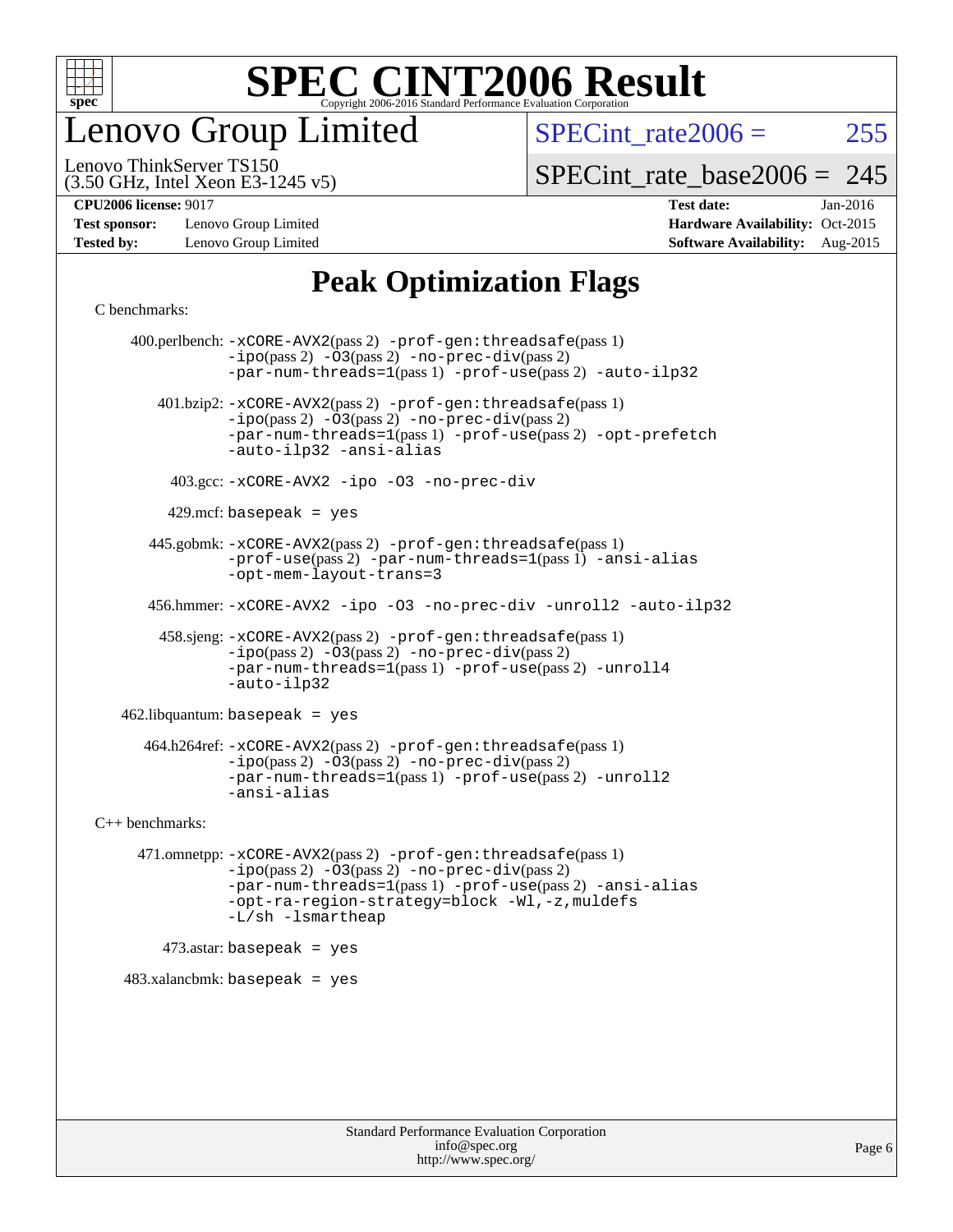

enovo Group Limited

SPECint rate $2006 = 255$ 

(3.50 GHz, Intel Xeon E3-1245 v5) Lenovo ThinkServer TS150

[SPECint\\_rate\\_base2006 =](http://www.spec.org/auto/cpu2006/Docs/result-fields.html#SPECintratebase2006) 245

**[Test sponsor:](http://www.spec.org/auto/cpu2006/Docs/result-fields.html#Testsponsor)** Lenovo Group Limited **[Hardware Availability:](http://www.spec.org/auto/cpu2006/Docs/result-fields.html#HardwareAvailability)** Oct-2015

**[CPU2006 license:](http://www.spec.org/auto/cpu2006/Docs/result-fields.html#CPU2006license)** 9017 **[Test date:](http://www.spec.org/auto/cpu2006/Docs/result-fields.html#Testdate)** Jan-2016 **[Tested by:](http://www.spec.org/auto/cpu2006/Docs/result-fields.html#Testedby)** Lenovo Group Limited **[Software Availability:](http://www.spec.org/auto/cpu2006/Docs/result-fields.html#SoftwareAvailability)** Aug-2015

#### **[Peak Optimization Flags](http://www.spec.org/auto/cpu2006/Docs/result-fields.html#PeakOptimizationFlags)**

[C benchmarks](http://www.spec.org/auto/cpu2006/Docs/result-fields.html#Cbenchmarks):

 400.perlbench: [-xCORE-AVX2](http://www.spec.org/cpu2006/results/res2016q1/cpu2006-20160125-38846.flags.html#user_peakPASS2_CFLAGSPASS2_LDCFLAGS400_perlbench_f-xAVX2_5f5fc0cbe2c9f62c816d3e45806c70d7)(pass 2) [-prof-gen:threadsafe](http://www.spec.org/cpu2006/results/res2016q1/cpu2006-20160125-38846.flags.html#user_peakPASS1_CFLAGSPASS1_LDCFLAGS400_perlbench_prof_gen_21a26eb79f378b550acd7bec9fe4467a)(pass 1)  $-i\text{po}(pass 2) -\overline{03}(pass 2)$  [-no-prec-div](http://www.spec.org/cpu2006/results/res2016q1/cpu2006-20160125-38846.flags.html#user_peakPASS2_CFLAGSPASS2_LDCFLAGS400_perlbench_f-no-prec-div)(pass 2) [-par-num-threads=1](http://www.spec.org/cpu2006/results/res2016q1/cpu2006-20160125-38846.flags.html#user_peakPASS1_CFLAGSPASS1_LDCFLAGS400_perlbench_par_num_threads_786a6ff141b4e9e90432e998842df6c2)(pass 1) [-prof-use](http://www.spec.org/cpu2006/results/res2016q1/cpu2006-20160125-38846.flags.html#user_peakPASS2_CFLAGSPASS2_LDCFLAGS400_perlbench_prof_use_bccf7792157ff70d64e32fe3e1250b55)(pass 2) [-auto-ilp32](http://www.spec.org/cpu2006/results/res2016q1/cpu2006-20160125-38846.flags.html#user_peakCOPTIMIZE400_perlbench_f-auto-ilp32) 401.bzip2: [-xCORE-AVX2](http://www.spec.org/cpu2006/results/res2016q1/cpu2006-20160125-38846.flags.html#user_peakPASS2_CFLAGSPASS2_LDCFLAGS401_bzip2_f-xAVX2_5f5fc0cbe2c9f62c816d3e45806c70d7)(pass 2) [-prof-gen:threadsafe](http://www.spec.org/cpu2006/results/res2016q1/cpu2006-20160125-38846.flags.html#user_peakPASS1_CFLAGSPASS1_LDCFLAGS401_bzip2_prof_gen_21a26eb79f378b550acd7bec9fe4467a)(pass 1)  $-ipo(pass 2) -\overline{O}3(pass 2)$  $-ipo(pass 2) -\overline{O}3(pass 2)$  [-no-prec-div](http://www.spec.org/cpu2006/results/res2016q1/cpu2006-20160125-38846.flags.html#user_peakPASS2_CFLAGSPASS2_LDCFLAGS401_bzip2_f-no-prec-div)(pass 2) [-par-num-threads=1](http://www.spec.org/cpu2006/results/res2016q1/cpu2006-20160125-38846.flags.html#user_peakPASS1_CFLAGSPASS1_LDCFLAGS401_bzip2_par_num_threads_786a6ff141b4e9e90432e998842df6c2)(pass 1) [-prof-use](http://www.spec.org/cpu2006/results/res2016q1/cpu2006-20160125-38846.flags.html#user_peakPASS2_CFLAGSPASS2_LDCFLAGS401_bzip2_prof_use_bccf7792157ff70d64e32fe3e1250b55)(pass 2) [-opt-prefetch](http://www.spec.org/cpu2006/results/res2016q1/cpu2006-20160125-38846.flags.html#user_peakCOPTIMIZE401_bzip2_f-opt-prefetch) [-auto-ilp32](http://www.spec.org/cpu2006/results/res2016q1/cpu2006-20160125-38846.flags.html#user_peakCOPTIMIZE401_bzip2_f-auto-ilp32) [-ansi-alias](http://www.spec.org/cpu2006/results/res2016q1/cpu2006-20160125-38846.flags.html#user_peakCOPTIMIZE401_bzip2_f-ansi-alias) 403.gcc: [-xCORE-AVX2](http://www.spec.org/cpu2006/results/res2016q1/cpu2006-20160125-38846.flags.html#user_peakCOPTIMIZE403_gcc_f-xAVX2_5f5fc0cbe2c9f62c816d3e45806c70d7) [-ipo](http://www.spec.org/cpu2006/results/res2016q1/cpu2006-20160125-38846.flags.html#user_peakCOPTIMIZE403_gcc_f-ipo) [-O3](http://www.spec.org/cpu2006/results/res2016q1/cpu2006-20160125-38846.flags.html#user_peakCOPTIMIZE403_gcc_f-O3) [-no-prec-div](http://www.spec.org/cpu2006/results/res2016q1/cpu2006-20160125-38846.flags.html#user_peakCOPTIMIZE403_gcc_f-no-prec-div)  $429$ .mcf: basepeak = yes 445.gobmk: [-xCORE-AVX2](http://www.spec.org/cpu2006/results/res2016q1/cpu2006-20160125-38846.flags.html#user_peakPASS2_CFLAGSPASS2_LDCFLAGS445_gobmk_f-xAVX2_5f5fc0cbe2c9f62c816d3e45806c70d7)(pass 2) [-prof-gen:threadsafe](http://www.spec.org/cpu2006/results/res2016q1/cpu2006-20160125-38846.flags.html#user_peakPASS1_CFLAGSPASS1_LDCFLAGS445_gobmk_prof_gen_21a26eb79f378b550acd7bec9fe4467a)(pass 1) [-prof-use](http://www.spec.org/cpu2006/results/res2016q1/cpu2006-20160125-38846.flags.html#user_peakPASS2_CFLAGSPASS2_LDCFLAGS445_gobmk_prof_use_bccf7792157ff70d64e32fe3e1250b55)(pass 2) [-par-num-threads=1](http://www.spec.org/cpu2006/results/res2016q1/cpu2006-20160125-38846.flags.html#user_peakPASS1_CFLAGSPASS1_LDCFLAGS445_gobmk_par_num_threads_786a6ff141b4e9e90432e998842df6c2)(pass 1) [-ansi-alias](http://www.spec.org/cpu2006/results/res2016q1/cpu2006-20160125-38846.flags.html#user_peakCOPTIMIZE445_gobmk_f-ansi-alias) [-opt-mem-layout-trans=3](http://www.spec.org/cpu2006/results/res2016q1/cpu2006-20160125-38846.flags.html#user_peakCOPTIMIZE445_gobmk_f-opt-mem-layout-trans_a7b82ad4bd7abf52556d4961a2ae94d5) 456.hmmer: [-xCORE-AVX2](http://www.spec.org/cpu2006/results/res2016q1/cpu2006-20160125-38846.flags.html#user_peakCOPTIMIZE456_hmmer_f-xAVX2_5f5fc0cbe2c9f62c816d3e45806c70d7) [-ipo](http://www.spec.org/cpu2006/results/res2016q1/cpu2006-20160125-38846.flags.html#user_peakCOPTIMIZE456_hmmer_f-ipo) [-O3](http://www.spec.org/cpu2006/results/res2016q1/cpu2006-20160125-38846.flags.html#user_peakCOPTIMIZE456_hmmer_f-O3) [-no-prec-div](http://www.spec.org/cpu2006/results/res2016q1/cpu2006-20160125-38846.flags.html#user_peakCOPTIMIZE456_hmmer_f-no-prec-div) [-unroll2](http://www.spec.org/cpu2006/results/res2016q1/cpu2006-20160125-38846.flags.html#user_peakCOPTIMIZE456_hmmer_f-unroll_784dae83bebfb236979b41d2422d7ec2) [-auto-ilp32](http://www.spec.org/cpu2006/results/res2016q1/cpu2006-20160125-38846.flags.html#user_peakCOPTIMIZE456_hmmer_f-auto-ilp32) 458.sjeng: [-xCORE-AVX2](http://www.spec.org/cpu2006/results/res2016q1/cpu2006-20160125-38846.flags.html#user_peakPASS2_CFLAGSPASS2_LDCFLAGS458_sjeng_f-xAVX2_5f5fc0cbe2c9f62c816d3e45806c70d7)(pass 2) [-prof-gen:threadsafe](http://www.spec.org/cpu2006/results/res2016q1/cpu2006-20160125-38846.flags.html#user_peakPASS1_CFLAGSPASS1_LDCFLAGS458_sjeng_prof_gen_21a26eb79f378b550acd7bec9fe4467a)(pass 1)  $-i\text{po}(pass 2) -03(pass 2) -no-prec-div(pass 2)$  $-i\text{po}(pass 2) -03(pass 2) -no-prec-div(pass 2)$  $-i\text{po}(pass 2) -03(pass 2) -no-prec-div(pass 2)$ [-par-num-threads=1](http://www.spec.org/cpu2006/results/res2016q1/cpu2006-20160125-38846.flags.html#user_peakPASS1_CFLAGSPASS1_LDCFLAGS458_sjeng_par_num_threads_786a6ff141b4e9e90432e998842df6c2)(pass 1) [-prof-use](http://www.spec.org/cpu2006/results/res2016q1/cpu2006-20160125-38846.flags.html#user_peakPASS2_CFLAGSPASS2_LDCFLAGS458_sjeng_prof_use_bccf7792157ff70d64e32fe3e1250b55)(pass 2) [-unroll4](http://www.spec.org/cpu2006/results/res2016q1/cpu2006-20160125-38846.flags.html#user_peakCOPTIMIZE458_sjeng_f-unroll_4e5e4ed65b7fd20bdcd365bec371b81f) [-auto-ilp32](http://www.spec.org/cpu2006/results/res2016q1/cpu2006-20160125-38846.flags.html#user_peakCOPTIMIZE458_sjeng_f-auto-ilp32) 462.libquantum: basepeak = yes 464.h264ref: [-xCORE-AVX2](http://www.spec.org/cpu2006/results/res2016q1/cpu2006-20160125-38846.flags.html#user_peakPASS2_CFLAGSPASS2_LDCFLAGS464_h264ref_f-xAVX2_5f5fc0cbe2c9f62c816d3e45806c70d7)(pass 2) [-prof-gen:threadsafe](http://www.spec.org/cpu2006/results/res2016q1/cpu2006-20160125-38846.flags.html#user_peakPASS1_CFLAGSPASS1_LDCFLAGS464_h264ref_prof_gen_21a26eb79f378b550acd7bec9fe4467a)(pass 1) [-ipo](http://www.spec.org/cpu2006/results/res2016q1/cpu2006-20160125-38846.flags.html#user_peakPASS2_CFLAGSPASS2_LDCFLAGS464_h264ref_f-ipo)(pass 2) [-O3](http://www.spec.org/cpu2006/results/res2016q1/cpu2006-20160125-38846.flags.html#user_peakPASS2_CFLAGSPASS2_LDCFLAGS464_h264ref_f-O3)(pass 2) [-no-prec-div](http://www.spec.org/cpu2006/results/res2016q1/cpu2006-20160125-38846.flags.html#user_peakPASS2_CFLAGSPASS2_LDCFLAGS464_h264ref_f-no-prec-div)(pass 2) [-par-num-threads=1](http://www.spec.org/cpu2006/results/res2016q1/cpu2006-20160125-38846.flags.html#user_peakPASS1_CFLAGSPASS1_LDCFLAGS464_h264ref_par_num_threads_786a6ff141b4e9e90432e998842df6c2)(pass 1) [-prof-use](http://www.spec.org/cpu2006/results/res2016q1/cpu2006-20160125-38846.flags.html#user_peakPASS2_CFLAGSPASS2_LDCFLAGS464_h264ref_prof_use_bccf7792157ff70d64e32fe3e1250b55)(pass 2) [-unroll2](http://www.spec.org/cpu2006/results/res2016q1/cpu2006-20160125-38846.flags.html#user_peakCOPTIMIZE464_h264ref_f-unroll_784dae83bebfb236979b41d2422d7ec2) [-ansi-alias](http://www.spec.org/cpu2006/results/res2016q1/cpu2006-20160125-38846.flags.html#user_peakCOPTIMIZE464_h264ref_f-ansi-alias) [C++ benchmarks:](http://www.spec.org/auto/cpu2006/Docs/result-fields.html#CXXbenchmarks) 471.omnetpp: [-xCORE-AVX2](http://www.spec.org/cpu2006/results/res2016q1/cpu2006-20160125-38846.flags.html#user_peakPASS2_CXXFLAGSPASS2_LDCXXFLAGS471_omnetpp_f-xAVX2_5f5fc0cbe2c9f62c816d3e45806c70d7)(pass 2) [-prof-gen:threadsafe](http://www.spec.org/cpu2006/results/res2016q1/cpu2006-20160125-38846.flags.html#user_peakPASS1_CXXFLAGSPASS1_LDCXXFLAGS471_omnetpp_prof_gen_21a26eb79f378b550acd7bec9fe4467a)(pass 1) [-ipo](http://www.spec.org/cpu2006/results/res2016q1/cpu2006-20160125-38846.flags.html#user_peakPASS2_CXXFLAGSPASS2_LDCXXFLAGS471_omnetpp_f-ipo)(pass 2) [-O3](http://www.spec.org/cpu2006/results/res2016q1/cpu2006-20160125-38846.flags.html#user_peakPASS2_CXXFLAGSPASS2_LDCXXFLAGS471_omnetpp_f-O3)(pass 2) [-no-prec-div](http://www.spec.org/cpu2006/results/res2016q1/cpu2006-20160125-38846.flags.html#user_peakPASS2_CXXFLAGSPASS2_LDCXXFLAGS471_omnetpp_f-no-prec-div)(pass 2) [-par-num-threads=1](http://www.spec.org/cpu2006/results/res2016q1/cpu2006-20160125-38846.flags.html#user_peakPASS1_CXXFLAGSPASS1_LDCXXFLAGS471_omnetpp_par_num_threads_786a6ff141b4e9e90432e998842df6c2)(pass 1) [-prof-use](http://www.spec.org/cpu2006/results/res2016q1/cpu2006-20160125-38846.flags.html#user_peakPASS2_CXXFLAGSPASS2_LDCXXFLAGS471_omnetpp_prof_use_bccf7792157ff70d64e32fe3e1250b55)(pass 2) [-ansi-alias](http://www.spec.org/cpu2006/results/res2016q1/cpu2006-20160125-38846.flags.html#user_peakCXXOPTIMIZE471_omnetpp_f-ansi-alias) [-opt-ra-region-strategy=block](http://www.spec.org/cpu2006/results/res2016q1/cpu2006-20160125-38846.flags.html#user_peakCXXOPTIMIZE471_omnetpp_f-opt-ra-region-strategy_a0a37c372d03933b2a18d4af463c1f69) [-Wl,-z,muldefs](http://www.spec.org/cpu2006/results/res2016q1/cpu2006-20160125-38846.flags.html#user_peakEXTRA_LDFLAGS471_omnetpp_link_force_multiple1_74079c344b956b9658436fd1b6dd3a8a) [-L/sh -lsmartheap](http://www.spec.org/cpu2006/results/res2016q1/cpu2006-20160125-38846.flags.html#user_peakEXTRA_LIBS471_omnetpp_SmartHeap_32f6c82aa1ed9c52345d30cf6e4a0499)  $473$ .astar: basepeak = yes 483.xalancbmk: basepeak = yes